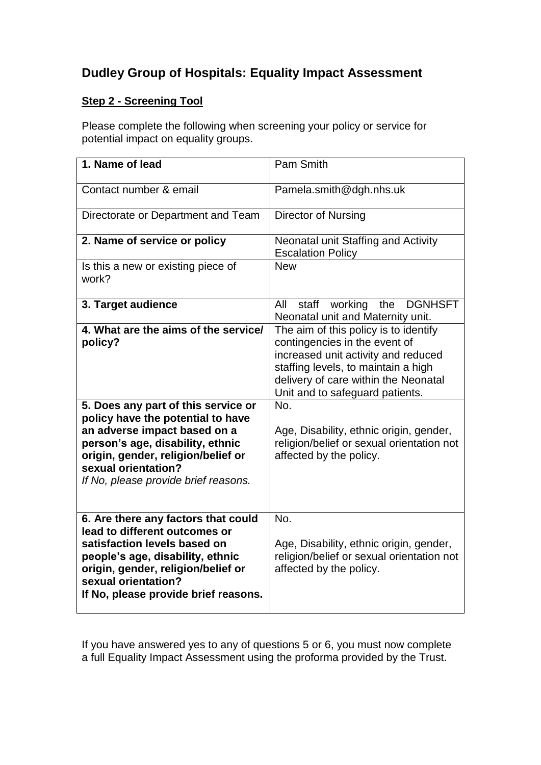## **Dudley Group of Hospitals: Equality Impact Assessment**

## **Step 2 - Screening Tool**

Please complete the following when screening your policy or service for potential impact on equality groups.

| 1. Name of lead                                                                                                                                                                                                                               | Pam Smith                                                                                                                                                                                                                              |
|-----------------------------------------------------------------------------------------------------------------------------------------------------------------------------------------------------------------------------------------------|----------------------------------------------------------------------------------------------------------------------------------------------------------------------------------------------------------------------------------------|
| Contact number & email                                                                                                                                                                                                                        | Pamela.smith@dgh.nhs.uk                                                                                                                                                                                                                |
| Directorate or Department and Team                                                                                                                                                                                                            | Director of Nursing                                                                                                                                                                                                                    |
| 2. Name of service or policy                                                                                                                                                                                                                  | Neonatal unit Staffing and Activity<br><b>Escalation Policy</b>                                                                                                                                                                        |
| Is this a new or existing piece of<br>work?                                                                                                                                                                                                   | <b>New</b>                                                                                                                                                                                                                             |
| 3. Target audience                                                                                                                                                                                                                            | staff<br>working<br>the<br><b>DGNHSFT</b><br>All<br>Neonatal unit and Maternity unit.                                                                                                                                                  |
| 4. What are the aims of the service/<br>policy?<br>5. Does any part of this service or<br>policy have the potential to have                                                                                                                   | The aim of this policy is to identify<br>contingencies in the event of<br>increased unit activity and reduced<br>staffing levels, to maintain a high<br>delivery of care within the Neonatal<br>Unit and to safeguard patients.<br>No. |
| an adverse impact based on a<br>person's age, disability, ethnic<br>origin, gender, religion/belief or<br>sexual orientation?<br>If No, please provide brief reasons.                                                                         | Age, Disability, ethnic origin, gender,<br>religion/belief or sexual orientation not<br>affected by the policy.                                                                                                                        |
| 6. Are there any factors that could<br>lead to different outcomes or<br>satisfaction levels based on<br>people's age, disability, ethnic<br>origin, gender, religion/belief or<br>sexual orientation?<br>If No, please provide brief reasons. | No.<br>Age, Disability, ethnic origin, gender,<br>religion/belief or sexual orientation not<br>affected by the policy.                                                                                                                 |

If you have answered yes to any of questions 5 or 6, you must now complete a full Equality Impact Assessment using the proforma provided by the Trust.